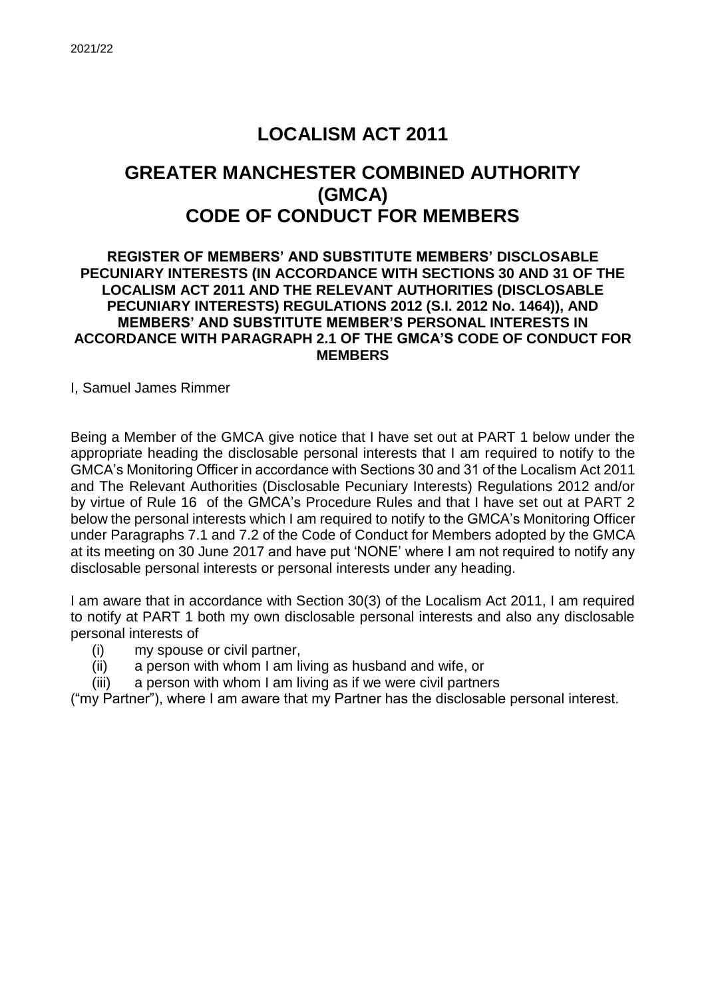# **LOCALISM ACT 2011 GREATER MANCHESTER COMBINED AUTHORITY (GMCA) CODE OF CONDUCT FOR MEMBERS**

#### **REGISTER OF MEMBERS' AND SUBSTITUTE MEMBERS' DISCLOSABLE PECUNIARY INTERESTS (IN ACCORDANCE WITH SECTIONS 30 AND 31 OF THE LOCALISM ACT 2011 AND THE RELEVANT AUTHORITIES (DISCLOSABLE PECUNIARY INTERESTS) REGULATIONS 2012 (S.I. 2012 No. 1464)), AND MEMBERS' AND SUBSTITUTE MEMBER'S PERSONAL INTERESTS IN ACCORDANCE WITH PARAGRAPH 2.1 OF THE GMCA'S CODE OF CONDUCT FOR MEMBERS**

I, Samuel James Rimmer

Being a Member of the GMCA give notice that I have set out at PART 1 below under the appropriate heading the disclosable personal interests that I am required to notify to the GMCA's Monitoring Officer in accordance with Sections 30 and 31 of the Localism Act 2011 and The Relevant Authorities (Disclosable Pecuniary Interests) Regulations 2012 and/or by virtue of Rule 16 of the GMCA's Procedure Rules and that I have set out at PART 2 below the personal interests which I am required to notify to the GMCA's Monitoring Officer under Paragraphs 7.1 and 7.2 of the Code of Conduct for Members adopted by the GMCA at its meeting on 30 June 2017 and have put 'NONE' where I am not required to notify any disclosable personal interests or personal interests under any heading.

I am aware that in accordance with Section 30(3) of the Localism Act 2011, I am required to notify at PART 1 both my own disclosable personal interests and also any disclosable personal interests of

- (i) my spouse or civil partner,
- (ii) a person with whom I am living as husband and wife, or
- (iii) a person with whom I am living as if we were civil partners

("my Partner"), where I am aware that my Partner has the disclosable personal interest.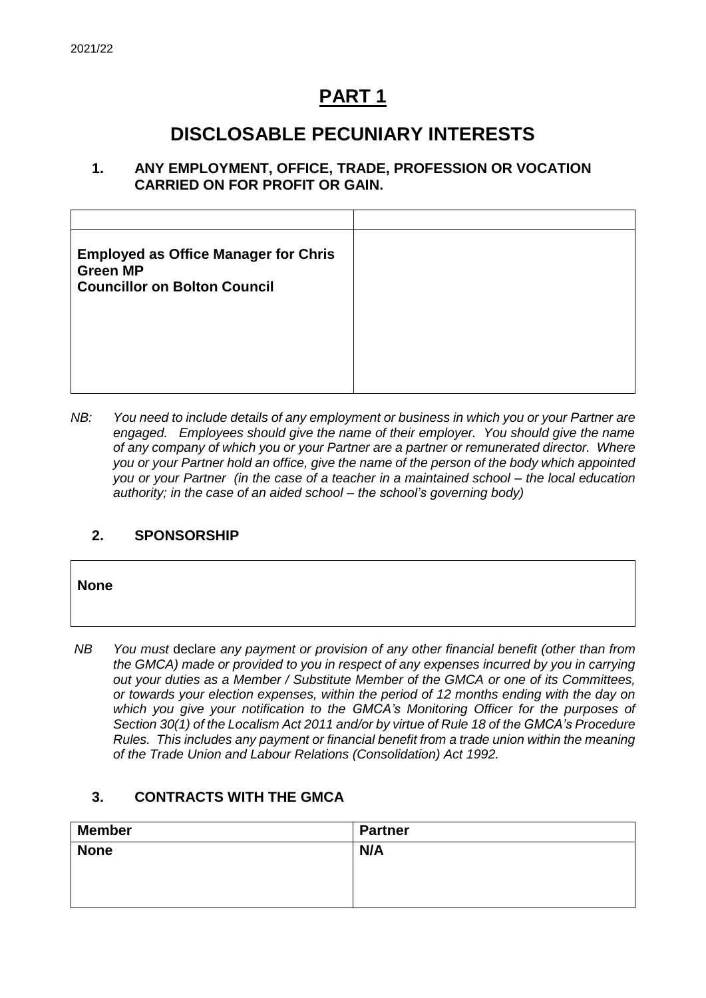## **PART 1**

## **DISCLOSABLE PECUNIARY INTERESTS**

#### **1. ANY EMPLOYMENT, OFFICE, TRADE, PROFESSION OR VOCATION CARRIED ON FOR PROFIT OR GAIN.**

| <b>Employed as Office Manager for Chris</b><br><b>Green MP</b><br><b>Councillor on Bolton Council</b> |  |
|-------------------------------------------------------------------------------------------------------|--|
|                                                                                                       |  |
|                                                                                                       |  |

*NB: You need to include details of any employment or business in which you or your Partner are engaged. Employees should give the name of their employer. You should give the name of any company of which you or your Partner are a partner or remunerated director. Where you or your Partner hold an office, give the name of the person of the body which appointed you or your Partner (in the case of a teacher in a maintained school – the local education authority; in the case of an aided school – the school's governing body)*

### **2. SPONSORSHIP**

**None**

*NB You must* declare *any payment or provision of any other financial benefit (other than from the GMCA) made or provided to you in respect of any expenses incurred by you in carrying out your duties as a Member / Substitute Member of the GMCA or one of its Committees, or towards your election expenses, within the period of 12 months ending with the day on which you give your notification to the GMCA's Monitoring Officer for the purposes of Section 30(1) of the Localism Act 2011 and/or by virtue of Rule 18 of the GMCA's Procedure Rules. This includes any payment or financial benefit from a trade union within the meaning of the Trade Union and Labour Relations (Consolidation) Act 1992.* 

### **3. CONTRACTS WITH THE GMCA**

| <b>Member</b> | <b>Partner</b> |
|---------------|----------------|
| <b>None</b>   | N/A            |
|               |                |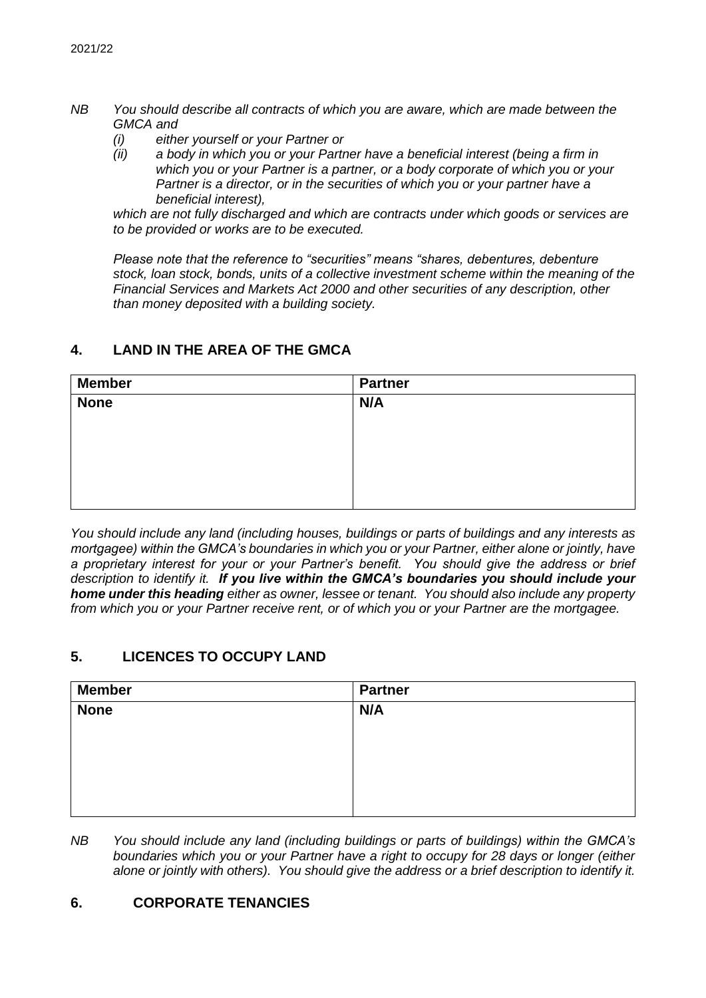- *NB You should describe all contracts of which you are aware, which are made between the GMCA and* 
	- *(i) either yourself or your Partner or*
	- *(ii) a body in which you or your Partner have a beneficial interest (being a firm in which you or your Partner is a partner, or a body corporate of which you or your Partner is a director, or in the securities of which you or your partner have a beneficial interest),*

*which are not fully discharged and which are contracts under which goods or services are to be provided or works are to be executed.*

*Please note that the reference to "securities" means "shares, debentures, debenture stock, loan stock, bonds, units of a collective investment scheme within the meaning of the Financial Services and Markets Act 2000 and other securities of any description, other than money deposited with a building society.*

#### **4. LAND IN THE AREA OF THE GMCA**

| <b>Member</b> | <b>Partner</b> |
|---------------|----------------|
| <b>None</b>   | N/A            |
|               |                |
|               |                |
|               |                |
|               |                |
|               |                |

*You should include any land (including houses, buildings or parts of buildings and any interests as mortgagee) within the GMCA's boundaries in which you or your Partner, either alone or jointly, have a proprietary interest for your or your Partner's benefit. You should give the address or brief description to identify it. If you live within the GMCA's boundaries you should include your home under this heading either as owner, lessee or tenant. You should also include any property from which you or your Partner receive rent, or of which you or your Partner are the mortgagee.*

#### **5. LICENCES TO OCCUPY LAND**

| <b>Member</b> | <b>Partner</b> |
|---------------|----------------|
| <b>None</b>   | N/A            |
|               |                |
|               |                |
|               |                |
|               |                |
|               |                |

*NB You should include any land (including buildings or parts of buildings) within the GMCA's boundaries which you or your Partner have a right to occupy for 28 days or longer (either alone or jointly with others). You should give the address or a brief description to identify it.*

#### **6. CORPORATE TENANCIES**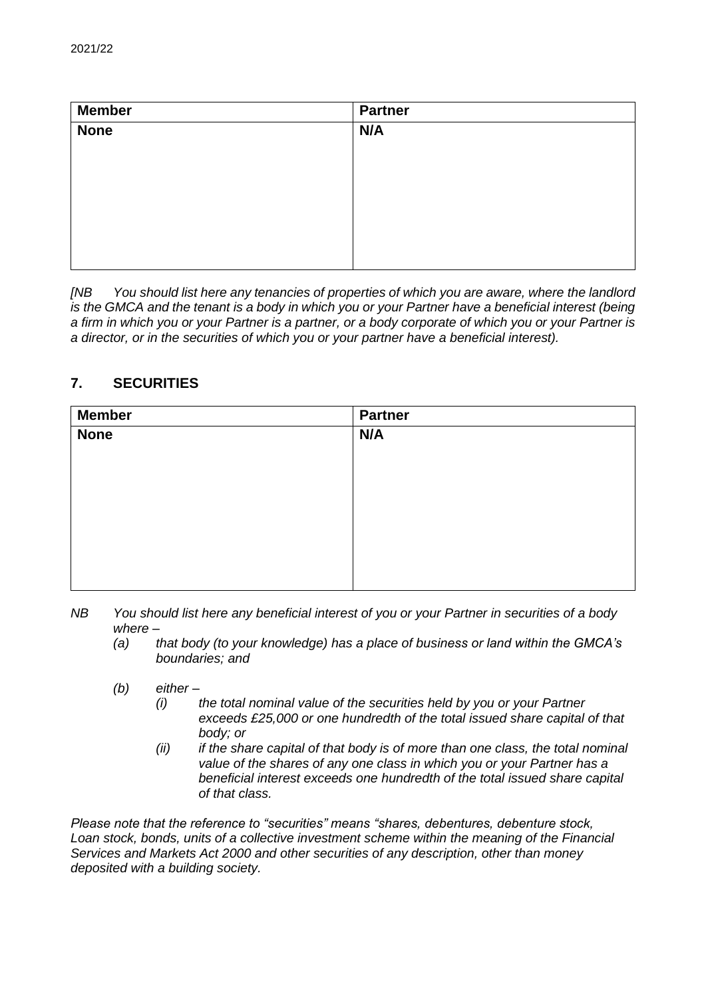| <b>Member</b> | <b>Partner</b> |
|---------------|----------------|
| <b>None</b>   | N/A            |
|               |                |
|               |                |
|               |                |
|               |                |
|               |                |
|               |                |
|               |                |

*[NB You should list here any tenancies of properties of which you are aware, where the landlord is the GMCA and the tenant is a body in which you or your Partner have a beneficial interest (being a firm in which you or your Partner is a partner, or a body corporate of which you or your Partner is a director, or in the securities of which you or your partner have a beneficial interest).* 

## **7. SECURITIES**

| <b>Member</b> | <b>Partner</b> |
|---------------|----------------|
| <b>None</b>   | N/A            |
|               |                |
|               |                |
|               |                |
|               |                |
|               |                |
|               |                |
|               |                |
|               |                |

- *NB You should list here any beneficial interest of you or your Partner in securities of a body where –*
	- *(a) that body (to your knowledge) has a place of business or land within the GMCA's boundaries; and*
	- *(b) either –*
		- *(i) the total nominal value of the securities held by you or your Partner exceeds £25,000 or one hundredth of the total issued share capital of that body; or*
		- *(ii) if the share capital of that body is of more than one class, the total nominal value of the shares of any one class in which you or your Partner has a beneficial interest exceeds one hundredth of the total issued share capital of that class.*

*Please note that the reference to "securities" means "shares, debentures, debenture stock, Loan stock, bonds, units of a collective investment scheme within the meaning of the Financial Services and Markets Act 2000 and other securities of any description, other than money deposited with a building society.*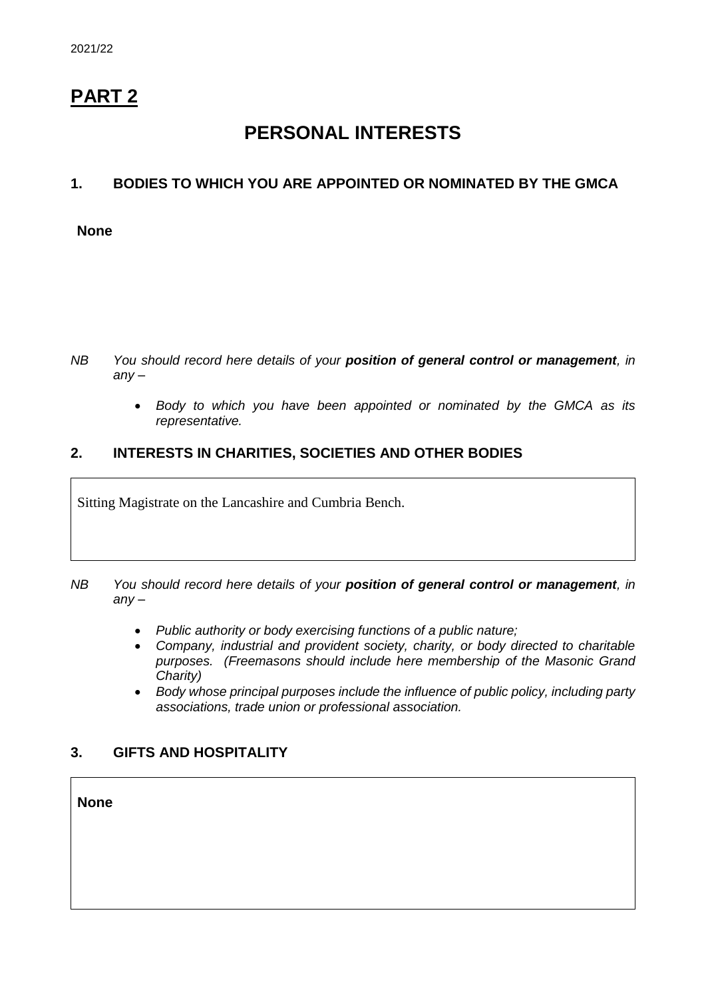## **PART 2**

## **PERSONAL INTERESTS**

### **1. BODIES TO WHICH YOU ARE APPOINTED OR NOMINATED BY THE GMCA**

#### **None**

- *NB You should record here details of your position of general control or management, in any –*
	- *Body to which you have been appointed or nominated by the GMCA as its representative.*

#### **2. INTERESTS IN CHARITIES, SOCIETIES AND OTHER BODIES**

Sitting Magistrate on the Lancashire and Cumbria Bench.

- *NB You should record here details of your position of general control or management, in any –*
	- *Public authority or body exercising functions of a public nature;*
	- *Company, industrial and provident society, charity, or body directed to charitable purposes. (Freemasons should include here membership of the Masonic Grand Charity)*
	- *Body whose principal purposes include the influence of public policy, including party associations, trade union or professional association.*

### **3. GIFTS AND HOSPITALITY**

**None**